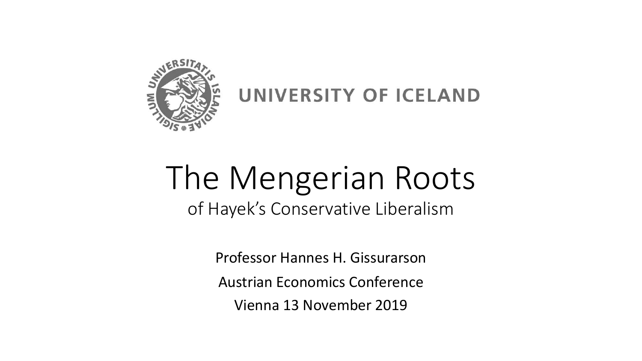

UNIVERSITY OF ICELAND

# The Mengerian Roots

of Hayek's Conservative Liberalism

Professor Hannes H. Gissurarson Austrian Economics Conference Vienna 13 November 2019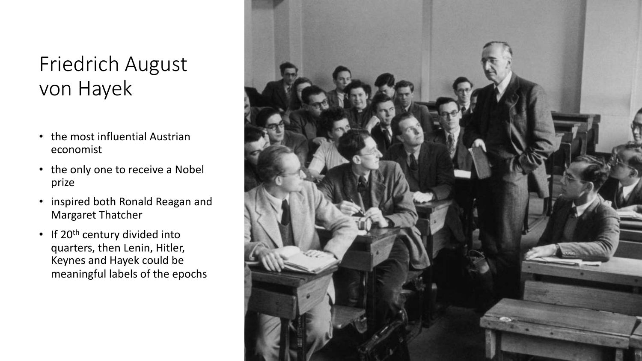#### Friedrich August von Hayek

- the most influential Austrian economist
- the only one to receive a Nobel prize
- inspired both Ronald Reagan and Margaret Thatcher
- If 20<sup>th</sup> century divided into quarters, then Lenin, Hitler, Keynes and Hayek could be meaningful labels of the epochs

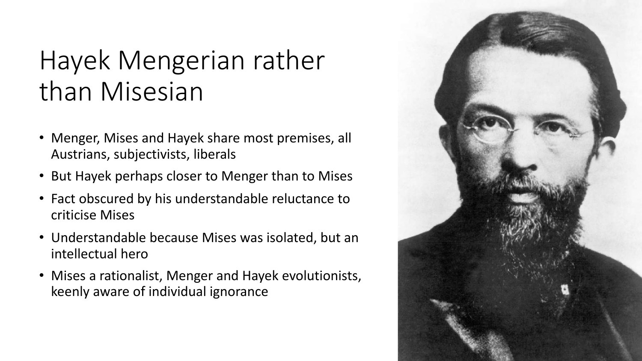## Hayek Mengerian rather than Misesian

- Menger, Mises and Hayek share most premises, all Austrians, subjectivists, liberals
- But Hayek perhaps closer to Menger than to Mises
- Fact obscured by his understandable reluctance to criticise Mises
- Understandable because Mises was isolated, but an intellectual hero
- Mises a rationalist, Menger and Hayek evolutionists, keenly aware of individual ignorance

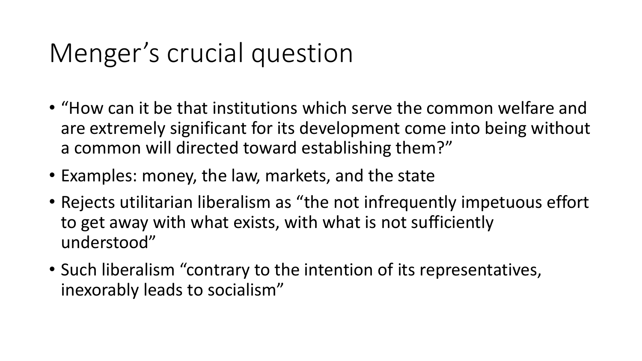# Menger's crucial question

- "How can it be that institutions which serve the common welfare and are extremely significant for its development come into being without a common will directed toward establishing them?"
- Examples: money, the law, markets, and the state
- Rejects utilitarian liberalism as "the not infrequently impetuous effort to get away with what exists, with what is not sufficiently understood"
- Such liberalism "contrary to the intention of its representatives, inexorably leads to socialism"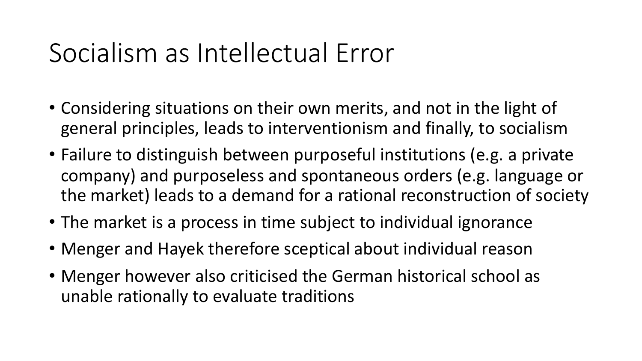## Socialism as Intellectual Error

- Considering situations on their own merits, and not in the light of general principles, leads to interventionism and finally, to socialism
- Failure to distinguish between purposeful institutions (e.g. a private company) and purposeless and spontaneous orders (e.g. language or the market) leads to a demand for a rational reconstruction of society
- The market is a process in time subject to individual ignorance
- Menger and Hayek therefore sceptical about individual reason
- Menger however also criticised the German historical school as unable rationally to evaluate traditions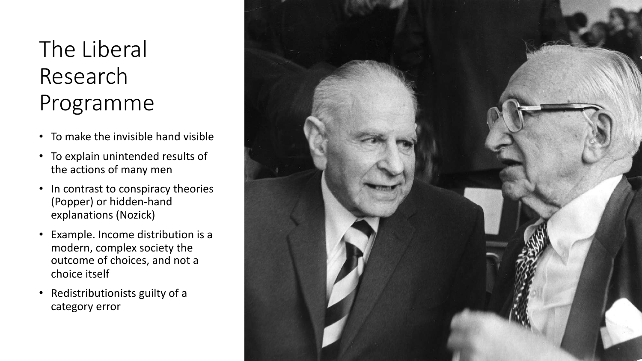#### The Liberal Research Programme

- To make the invisible hand visible
- To explain unintended results of the actions of many men
- In contrast to conspiracy theories (Popper) or hidden-hand explanations (Nozick)
- Example. Income distribution is a modern, complex society the outcome of choices, and not a choice itself
- Redistributionists guilty of a category error

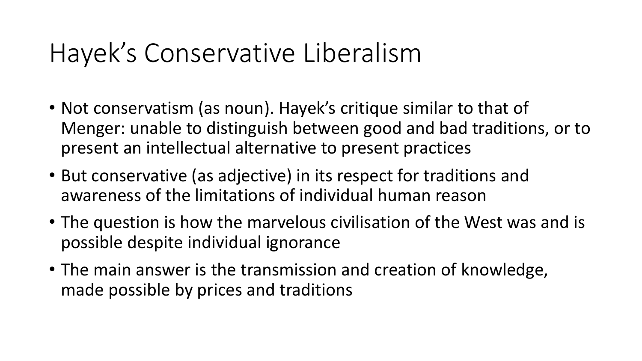### Hayek's Conservative Liberalism

- Not conservatism (as noun). Hayek's critique similar to that of Menger: unable to distinguish between good and bad traditions, or to present an intellectual alternative to present practices
- But conservative (as adjective) in its respect for traditions and awareness of the limitations of individual human reason
- The question is how the marvelous civilisation of the West was and is possible despite individual ignorance
- The main answer is the transmission and creation of knowledge, made possible by prices and traditions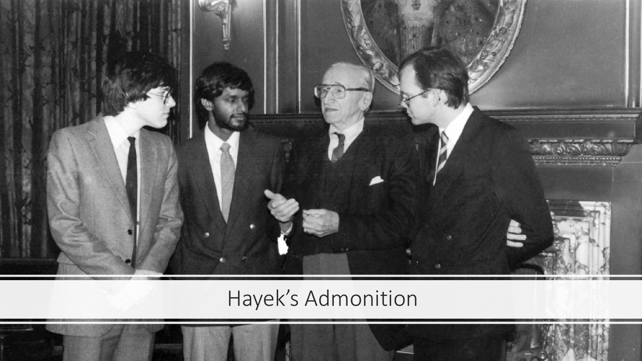

#### Hayek's Admonition